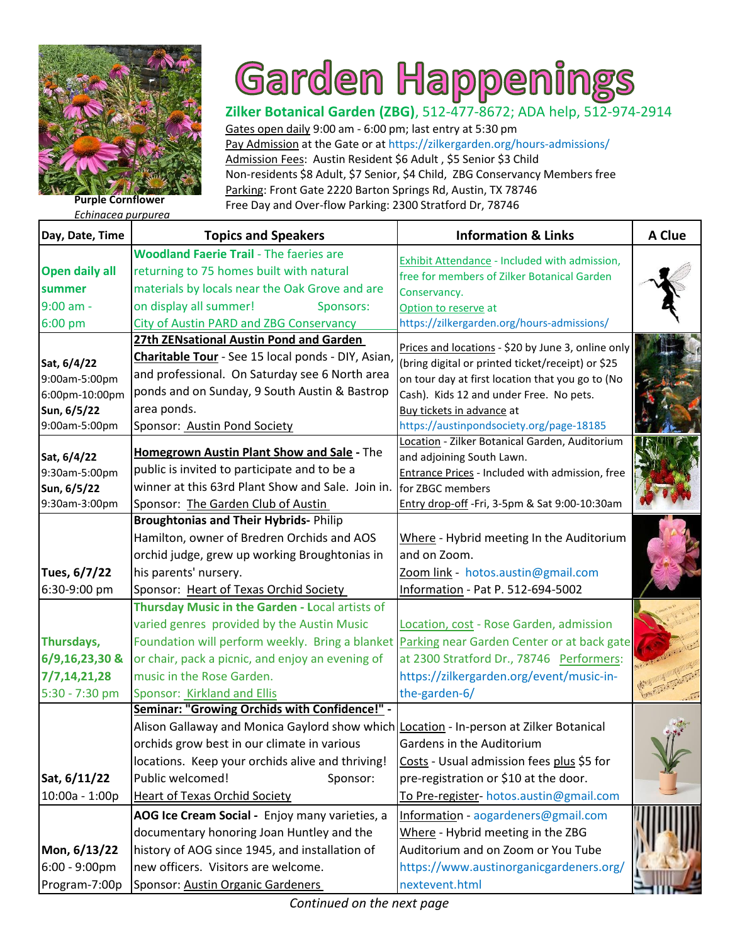

## Garden Happenings

Gates open daily 9:00 am - 6:00 pm; last entry at 5:30 pm Pay Admission at the Gate or at https://zilkergarden.org/hours-admissions/ Admission Fees: Austin Resident \$6 Adult , \$5 Senior \$3 Child [Non-residents \\$8 Adult, \\$7 Senior, \\$4 Child, ZBG Conservancy Members free](https://zilkergarden.org/) Parking: Front Gate 2220 Barton Springs Rd, Austin, TX 78746 **Purple Cornflower Purple Cornflower Purple Cornflower Purple Cornflower Purple Cornflower** *Pee Day* **and Over-flow Parking: 2300 Stratford Dr, 78746** 

*Echinacea purpurea*

| Day, Date, Time                                                                | <b>Topics and Speakers</b>                                                                                                                                                                                                                                                                                         | <b>Information &amp; Links</b>                                                                                                                                                                                                                                                  | A Clue |
|--------------------------------------------------------------------------------|--------------------------------------------------------------------------------------------------------------------------------------------------------------------------------------------------------------------------------------------------------------------------------------------------------------------|---------------------------------------------------------------------------------------------------------------------------------------------------------------------------------------------------------------------------------------------------------------------------------|--------|
| <b>Open daily all</b><br>summer                                                | <b>Woodland Faerie Trail - The faeries are</b><br>returning to 75 homes built with natural<br>materials by locals near the Oak Grove and are                                                                                                                                                                       | <b>Exhibit Attendance - Included with admission,</b><br>free for members of Zilker Botanical Garden<br>Conservancy.                                                                                                                                                             |        |
| 9:00 am -                                                                      | on display all summer!<br>Sponsors:                                                                                                                                                                                                                                                                                | Option to reserve at                                                                                                                                                                                                                                                            |        |
| 6:00 pm                                                                        | <b>City of Austin PARD and ZBG Conservancy</b><br>27th ZENsational Austin Pond and Garden                                                                                                                                                                                                                          | https://zilkergarden.org/hours-admissions/                                                                                                                                                                                                                                      |        |
| Sat, 6/4/22<br>9:00am-5:00pm<br>6:00pm-10:00pm<br>Sun, 6/5/22<br>9:00am-5:00pm | Charitable Tour - See 15 local ponds - DIY, Asian,<br>and professional. On Saturday see 6 North area<br>ponds and on Sunday, 9 South Austin & Bastrop<br>area ponds.<br>Sponsor: Austin Pond Society                                                                                                               | Prices and locations - \$20 by June 3, online only<br>(bring digital or printed ticket/receipt) or \$25<br>on tour day at first location that you go to (No<br>Cash). Kids 12 and under Free. No pets.<br>Buy tickets in advance at<br>https://austinpondsociety.org/page-18185 |        |
| Sat, 6/4/22<br>9:30am-5:00pm<br>Sun, 6/5/22<br>9:30am-3:00pm                   | Homegrown Austin Plant Show and Sale - The<br>public is invited to participate and to be a<br>winner at this 63rd Plant Show and Sale. Join in.<br>Sponsor: The Garden Club of Austin                                                                                                                              | Location - Zilker Botanical Garden, Auditorium<br>and adjoining South Lawn.<br>Entrance Prices - Included with admission, free<br>for ZBGC members<br>Entry drop-off -Fri, 3-5pm & Sat 9:00-10:30am                                                                             |        |
| Tues, 6/7/22                                                                   | <b>Broughtonias and Their Hybrids- Philip</b><br>Hamilton, owner of Bredren Orchids and AOS<br>orchid judge, grew up working Broughtonias in<br>his parents' nursery.                                                                                                                                              | Where - Hybrid meeting In the Auditorium<br>and on Zoom.<br>Zoom link - hotos.austin@gmail.com                                                                                                                                                                                  |        |
| 6:30-9:00 pm                                                                   | Sponsor: Heart of Texas Orchid Society                                                                                                                                                                                                                                                                             | Information - Pat P. 512-694-5002                                                                                                                                                                                                                                               |        |
| Thursdays,<br>6/9,16,23,30 &<br>7/7,14,21,28<br>5:30 - 7:30 pm                 | Thursday Music in the Garden - Local artists of<br>varied genres provided by the Austin Music<br>Foundation will perform weekly. Bring a blanket<br>or chair, pack a picnic, and enjoy an evening of<br>music in the Rose Garden.<br>Sponsor: Kirkland and Ellis                                                   | Location, cost - Rose Garden, admission<br>Parking near Garden Center or at back gate<br>at 2300 Stratford Dr., 78746 Performers:<br>https://zilkergarden.org/event/music-in-<br>the-garden-6/                                                                                  |        |
| Sat, 6/11/22<br>10:00a - 1:00p                                                 | Seminar: "Growing Orchids with Confidence!" -<br>Alison Gallaway and Monica Gaylord show which Location - In-person at Zilker Botanical<br>orchids grow best in our climate in various<br>locations. Keep your orchids alive and thriving!<br>Public welcomed!<br>Sponsor:<br><b>Heart of Texas Orchid Society</b> | Gardens in the Auditorium<br>Costs - Usual admission fees plus \$5 for<br>pre-registration or \$10 at the door.<br>To Pre-register- hotos.austin@gmail.com                                                                                                                      |        |
| Mon, 6/13/22<br>$6:00 - 9:00 \text{pm}$<br>Program-7:00p                       | AOG Ice Cream Social - Enjoy many varieties, a<br>documentary honoring Joan Huntley and the<br>history of AOG since 1945, and installation of<br>new officers. Visitors are welcome.<br>Sponsor: Austin Organic Gardeners                                                                                          | Information - aogardeners@gmail.com<br>Where - Hybrid meeting in the ZBG<br>Auditorium and on Zoom or You Tube<br>https://www.austinorganicgardeners.org/<br>nextevent.html                                                                                                     |        |